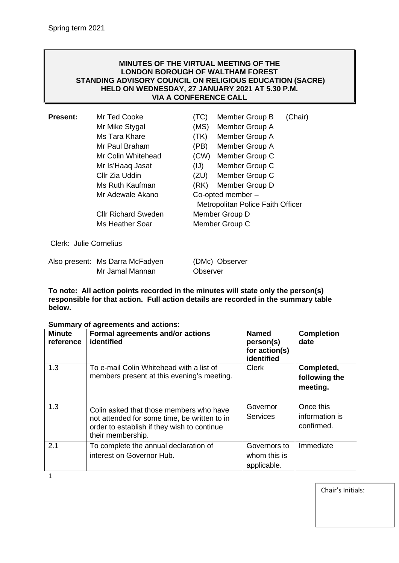## **MINUTES OF THE VIRTUAL MEETING OF THE LONDON BOROUGH OF WALTHAM FOREST STANDING ADVISORY COUNCIL ON RELIGIOUS EDUCATION (SACRE) HELD ON WEDNESDAY, 27 JANUARY 2021 AT 5.30 P.M. VIA A CONFERENCE CALL**

| <b>Present:</b>        | Mr Ted Cooke               | (TC) | Member Group B                    | (Chair) |
|------------------------|----------------------------|------|-----------------------------------|---------|
|                        | Mr Mike Stygal             | (MS) | Member Group A                    |         |
|                        | Ms Tara Khare              | (TK) | Member Group A                    |         |
|                        | Mr Paul Braham             | (PB) | Member Group A                    |         |
|                        | Mr Colin Whitehead         | (CW) | Member Group C                    |         |
|                        | Mr Is'Haaq Jasat           | (IJ) | Member Group C                    |         |
|                        | Cllr Zia Uddin             | (ZU) | Member Group C                    |         |
|                        | Ms Ruth Kaufman            | (RK) | Member Group D                    |         |
|                        | Mr Adewale Akano           |      | Co-opted member-                  |         |
|                        |                            |      | Metropolitan Police Faith Officer |         |
|                        | <b>CIIr Richard Sweden</b> |      | Member Group D                    |         |
|                        | Ms Heather Soar            |      | Member Group C                    |         |
| Clerk: Julie Cornelius |                            |      |                                   |         |

| Also present: Ms Darra McFadyen | (DMc) Observer |
|---------------------------------|----------------|
| Mr Jamal Mannan                 | Observer       |

**To note: All action points recorded in the minutes will state only the person(s) responsible for that action. Full action details are recorded in the summary table below.**

| <b>Minute</b><br>reference | Formal agreements and/or actions<br>identified                                                                                                              | <b>Named</b><br>person(s)<br>for action(s)<br>identified | <b>Completion</b><br>date                 |
|----------------------------|-------------------------------------------------------------------------------------------------------------------------------------------------------------|----------------------------------------------------------|-------------------------------------------|
| 1.3                        | To e-mail Colin Whitehead with a list of<br>members present at this evening's meeting.                                                                      | <b>Clerk</b>                                             | Completed,<br>following the<br>meeting.   |
| 1.3                        | Colin asked that those members who have<br>not attended for some time, be written to in<br>order to establish if they wish to continue<br>their membership. | Governor<br><b>Services</b>                              | Once this<br>information is<br>confirmed. |
| 2.1                        | To complete the annual declaration of<br>interest on Governor Hub.                                                                                          | Governors to<br>whom this is<br>applicable.              | Immediate                                 |

## **Summary of agreements and actions:**

1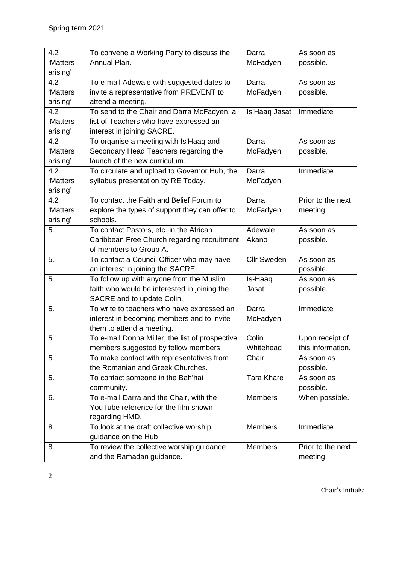| 4.2      | To convene a Working Party to discuss the       | Darra              | As soon as        |
|----------|-------------------------------------------------|--------------------|-------------------|
| 'Matters | Annual Plan.                                    | McFadyen           | possible.         |
| arising' |                                                 |                    |                   |
| 4.2      | To e-mail Adewale with suggested dates to       | Darra              | As soon as        |
| 'Matters | invite a representative from PREVENT to         | McFadyen           | possible.         |
| arising' | attend a meeting.                               |                    |                   |
| 4.2      | To send to the Chair and Darra McFadyen, a      | Is'Haaq Jasat      | Immediate         |
| 'Matters | list of Teachers who have expressed an          |                    |                   |
| arising' | interest in joining SACRE.                      |                    |                   |
| 4.2      | To organise a meeting with Is'Haaq and          | Darra              | As soon as        |
| 'Matters | Secondary Head Teachers regarding the           | McFadyen           | possible.         |
| arising' | launch of the new curriculum.                   |                    |                   |
| 4.2      | To circulate and upload to Governor Hub, the    | Darra              | Immediate         |
| 'Matters | syllabus presentation by RE Today.              | McFadyen           |                   |
| arising' |                                                 |                    |                   |
| 4.2      | To contact the Faith and Belief Forum to        | Darra              | Prior to the next |
| 'Matters | explore the types of support they can offer to  | McFadyen           | meeting.          |
| arising' | schools.                                        |                    |                   |
| 5.       | To contact Pastors, etc. in the African         | Adewale            | As soon as        |
|          | Caribbean Free Church regarding recruitment     | Akano              | possible.         |
|          | of members to Group A.                          |                    |                   |
| 5.       | To contact a Council Officer who may have       | <b>Cllr Sweden</b> | As soon as        |
|          | an interest in joining the SACRE.               |                    | possible.         |
| 5.       | To follow up with anyone from the Muslim        | Is-Haaq            | As soon as        |
|          | faith who would be interested in joining the    | Jasat              | possible.         |
|          | SACRE and to update Colin.                      |                    |                   |
| 5.       | To write to teachers who have expressed an      | Darra              | Immediate         |
|          | interest in becoming members and to invite      | McFadyen           |                   |
|          | them to attend a meeting.                       |                    |                   |
| 5.       | To e-mail Donna Miller, the list of prospective | Colin              | Upon receipt of   |
|          | members suggested by fellow members.            | Whitehead          | this information. |
| 5.       | To make contact with representatives from       | Chair              | As soon as        |
|          | the Romanian and Greek Churches.                |                    | possible.         |
| 5.       | To contact someone in the Bah'hai               | <b>Tara Khare</b>  | As soon as        |
|          | community.                                      |                    | possible.         |
| 6.       | To e-mail Darra and the Chair, with the         | <b>Members</b>     | When possible.    |
|          | YouTube reference for the film shown            |                    |                   |
|          | regarding HMD.                                  |                    |                   |
| 8.       | To look at the draft collective worship         | <b>Members</b>     | Immediate         |
|          | guidance on the Hub                             |                    |                   |
| 8.       | To review the collective worship guidance       | <b>Members</b>     | Prior to the next |
|          | and the Ramadan guidance.                       |                    | meeting.          |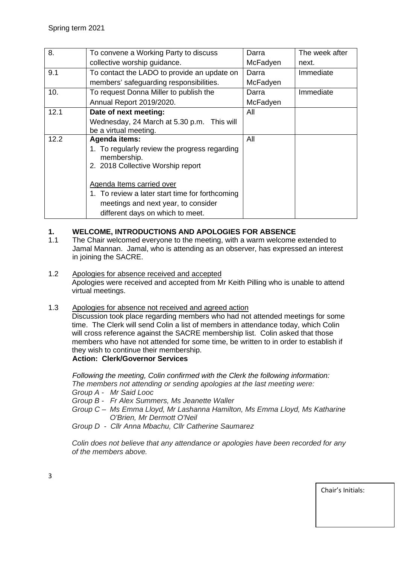| 8.   | To convene a Working Party to discuss                        | Darra    | The week after |
|------|--------------------------------------------------------------|----------|----------------|
|      | collective worship guidance.                                 | McFadyen | next.          |
| 9.1  | To contact the LADO to provide an update on                  | Darra    | Immediate      |
|      | members' safeguarding responsibilities.                      | McFadyen |                |
| 10.  | To request Donna Miller to publish the                       | Darra    | Immediate      |
|      | Annual Report 2019/2020.                                     | McFadyen |                |
| 12.1 | Date of next meeting:                                        | All      |                |
|      | Wednesday, 24 March at 5.30 p.m. This will                   |          |                |
|      | be a virtual meeting.                                        |          |                |
| 12.2 | <b>Agenda items:</b>                                         | All      |                |
|      | 1. To regularly review the progress regarding<br>membership. |          |                |
|      | 2. 2018 Collective Worship report                            |          |                |
|      | Agenda Items carried over                                    |          |                |
|      | 1. To review a later start time for forthcoming              |          |                |
|      | meetings and next year, to consider                          |          |                |
|      | different days on which to meet.                             |          |                |

# **1. WELCOME, INTRODUCTIONS AND APOLOGIES FOR ABSENCE**<br>1.1 The Chair welcomed everyone to the meeting, with a warm welcome

- The Chair welcomed everyone to the meeting, with a warm welcome extended to Jamal Mannan. Jamal, who is attending as an observer, has expressed an interest in joining the SACRE.
- 1.2 Apologies for absence received and accepted Apologies were received and accepted from Mr Keith Pilling who is unable to attend virtual meetings.
- 1.3 Apologies for absence not received and agreed action

Discussion took place regarding members who had not attended meetings for some time. The Clerk will send Colin a list of members in attendance today, which Colin will cross reference against the SACRE membership list. Colin asked that those members who have not attended for some time, be written to in order to establish if they wish to continue their membership. **Action: Clerk/Governor Services**

*Following the meeting, Colin confirmed with the Clerk the following information: The members not attending or sending apologies at the last meeting were:*

- *Group A - Mr Said Looc*
- *Group B - Fr Alex Summers, Ms Jeanette Waller*
- *Group C – Ms Emma Lloyd, Mr Lashanna Hamilton, Ms Emma Lloyd, Ms Katharine O'Brien, Mr Dermott O'Neil*
- *Group D - Cllr Anna Mbachu, Cllr Catherine Saumarez*

*Colin does not believe that any attendance or apologies have been recorded for any of the members above.*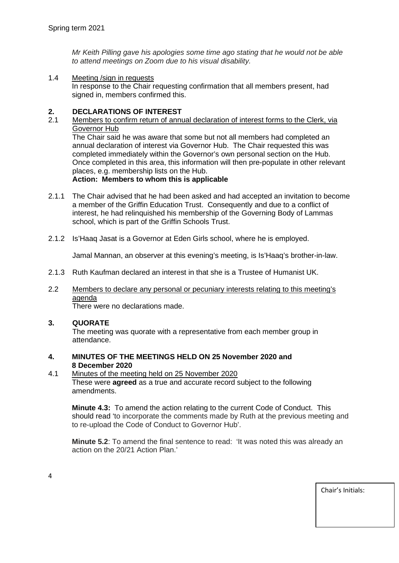*Mr Keith Pilling gave his apologies some time ago stating that he would not be able to attend meetings on Zoom due to his visual disability.*

1.4 Meeting / sign in requests

In response to the Chair requesting confirmation that all members present, had signed in, members confirmed this.

## **2. DECLARATIONS OF INTEREST**

2.1 Members to confirm return of annual declaration of interest forms to the Clerk, via Governor Hub

The Chair said he was aware that some but not all members had completed an annual declaration of interest via Governor Hub. The Chair requested this was completed immediately within the Governor's own personal section on the Hub. Once completed in this area, this information will then pre-populate in other relevant places, e.g. membership lists on the Hub.

## **Action: Members to whom this is applicable**

- 2.1.1 The Chair advised that he had been asked and had accepted an invitation to become a member of the Griffin Education Trust. Consequently and due to a conflict of interest, he had relinquished his membership of the Governing Body of Lammas school, which is part of the Griffin Schools Trust.
- 2.1.2 Is'Haaq Jasat is a Governor at Eden Girls school, where he is employed.

Jamal Mannan, an observer at this evening's meeting, is Is'Haaq's brother-in-law.

- 2.1.3 Ruth Kaufman declared an interest in that she is a Trustee of Humanist UK.
- 2.2 Members to declare any personal or pecuniary interests relating to this meeting's agenda

There were no declarations made.

#### **3. QUORATE**

The meeting was quorate with a representative from each member group in attendance.

- **4. MINUTES OF THE MEETINGS HELD ON 25 November 2020 and 8 December 2020**
- 4.1 Minutes of the meeting held on 25 November 2020

These were **agreed** as a true and accurate record subject to the following amendments.

**Minute 4.3:** To amend the action relating to the current Code of Conduct. This should read 'to incorporate the comments made by Ruth at the previous meeting and to re-upload the Code of Conduct to Governor Hub'.

**Minute 5.2**: To amend the final sentence to read: 'It was noted this was already an action on the 20/21 Action Plan.'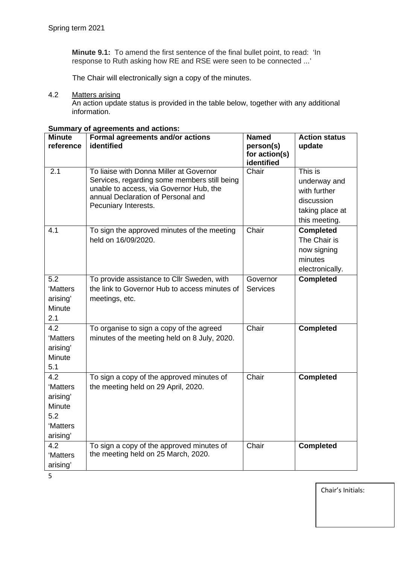**Minute 9.1:** To amend the first sentence of the final bullet point, to read: 'In response to Ruth asking how RE and RSE were seen to be connected ...'

The Chair will electronically sign a copy of the minutes.

#### 4.2 Matters arising

An action update status is provided in the table below, together with any additional information.

| <b>Minute</b><br>reference                                           | Formal agreements and/or actions<br>identified                                                                                                                                                   | <b>Named</b><br>person(s)<br>for action(s)<br>identified | <b>Action status</b><br>update                                                            |
|----------------------------------------------------------------------|--------------------------------------------------------------------------------------------------------------------------------------------------------------------------------------------------|----------------------------------------------------------|-------------------------------------------------------------------------------------------|
| 2.1                                                                  | To liaise with Donna Miller at Governor<br>Services, regarding some members still being<br>unable to access, via Governor Hub, the<br>annual Declaration of Personal and<br>Pecuniary Interests. | Chair                                                    | This is<br>underway and<br>with further<br>discussion<br>taking place at<br>this meeting. |
| 4.1                                                                  | To sign the approved minutes of the meeting<br>held on 16/09/2020.                                                                                                                               | Chair                                                    | <b>Completed</b><br>The Chair is<br>now signing<br>minutes<br>electronically.             |
| 5.2<br>'Matters<br>arising'<br>Minute<br>2.1                         | To provide assistance to Cllr Sweden, with<br>the link to Governor Hub to access minutes of<br>meetings, etc.                                                                                    | Governor<br><b>Services</b>                              | <b>Completed</b>                                                                          |
| 4.2<br>'Matters<br>arising'<br>Minute<br>5.1                         | To organise to sign a copy of the agreed<br>minutes of the meeting held on 8 July, 2020.                                                                                                         | Chair                                                    | <b>Completed</b>                                                                          |
| 4.2<br>'Matters<br>arising'<br>Minute<br>5.2<br>'Matters<br>arising' | To sign a copy of the approved minutes of<br>the meeting held on 29 April, 2020.                                                                                                                 | Chair                                                    | <b>Completed</b>                                                                          |
| 4.2<br>'Matters<br>arising'                                          | To sign a copy of the approved minutes of<br>the meeting held on 25 March, 2020.                                                                                                                 | Chair                                                    | <b>Completed</b>                                                                          |

# **Summary of agreements and actions:**

5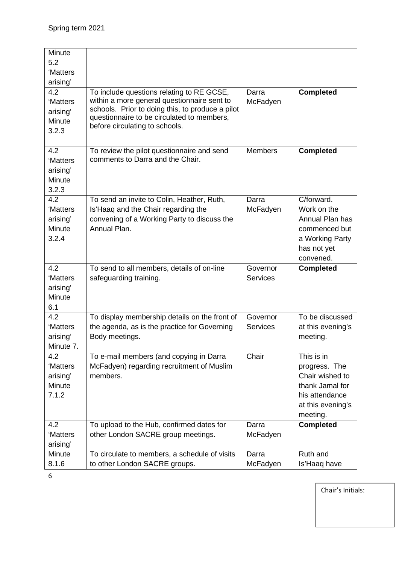| Minute<br>5.2<br>'Matters<br>arising'<br>4.2<br>'Matters<br>arising'<br>Minute<br>3.2.3 | To include questions relating to RE GCSE,<br>within a more general questionnaire sent to<br>schools. Prior to doing this, to produce a pilot<br>questionnaire to be circulated to members,<br>before circulating to schools. | Darra<br>McFadyen                      | <b>Completed</b>                                                                                                     |
|-----------------------------------------------------------------------------------------|------------------------------------------------------------------------------------------------------------------------------------------------------------------------------------------------------------------------------|----------------------------------------|----------------------------------------------------------------------------------------------------------------------|
| 4.2<br>'Matters<br>arising'<br>Minute<br>3.2.3                                          | To review the pilot questionnaire and send<br>comments to Darra and the Chair.                                                                                                                                               | <b>Members</b>                         | <b>Completed</b>                                                                                                     |
| 4.2<br>'Matters<br>arising'<br>Minute<br>3.2.4                                          | To send an invite to Colin, Heather, Ruth,<br>Is'Haaq and the Chair regarding the<br>convening of a Working Party to discuss the<br>Annual Plan.                                                                             | Darra<br>McFadyen                      | C/forward.<br>Work on the<br>Annual Plan has<br>commenced but<br>a Working Party<br>has not yet<br>convened.         |
| 4.2<br>'Matters<br>arising'<br>Minute<br>6.1                                            | To send to all members, details of on-line<br>safeguarding training.                                                                                                                                                         | Governor<br><b>Services</b>            | <b>Completed</b>                                                                                                     |
| 4.2<br>'Matters<br>arising'<br>Minute 7.                                                | To display membership details on the front of<br>the agenda, as is the practice for Governing<br>Body meetings.                                                                                                              | Governor<br><b>Services</b>            | To be discussed<br>at this evening's<br>meeting.                                                                     |
| 4.2<br>'Matters<br>arising'<br>Minute<br>7.1.2                                          | To e-mail members (and copying in Darra<br>McFadyen) regarding recruitment of Muslim<br>members.                                                                                                                             | Chair                                  | This is in<br>progress. The<br>Chair wished to<br>thank Jamal for<br>his attendance<br>at this evening's<br>meeting. |
| 4.2<br>'Matters<br>arising'<br>Minute<br>8.1.6                                          | To upload to the Hub, confirmed dates for<br>other London SACRE group meetings.<br>To circulate to members, a schedule of visits<br>to other London SACRE groups.                                                            | Darra<br>McFadyen<br>Darra<br>McFadyen | <b>Completed</b><br>Ruth and<br>Is'Haaq have                                                                         |

6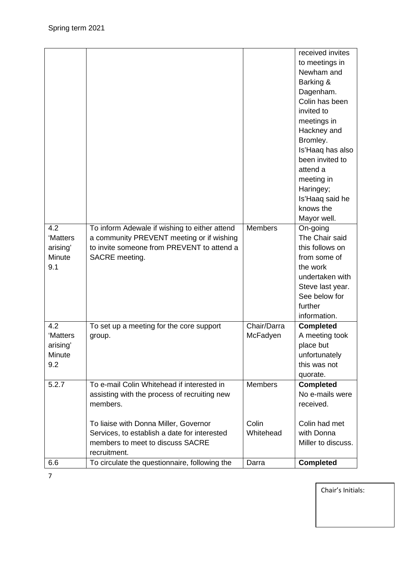|          |                                               |                | received invites   |
|----------|-----------------------------------------------|----------------|--------------------|
|          |                                               |                | to meetings in     |
|          |                                               |                | Newham and         |
|          |                                               |                | Barking &          |
|          |                                               |                | Dagenham.          |
|          |                                               |                | Colin has been     |
|          |                                               |                | invited to         |
|          |                                               |                | meetings in        |
|          |                                               |                | Hackney and        |
|          |                                               |                | Bromley.           |
|          |                                               |                | Is'Haaq has also   |
|          |                                               |                | been invited to    |
|          |                                               |                | attend a           |
|          |                                               |                | meeting in         |
|          |                                               |                | Haringey;          |
|          |                                               |                | Is'Haaq said he    |
|          |                                               |                | knows the          |
|          |                                               |                | Mayor well.        |
| 4.2      | To inform Adewale if wishing to either attend | <b>Members</b> | On-going           |
| 'Matters | a community PREVENT meeting or if wishing     |                | The Chair said     |
| arising' | to invite someone from PREVENT to attend a    |                | this follows on    |
| Minute   | SACRE meeting.                                |                | from some of       |
| 9.1      |                                               |                | the work           |
|          |                                               |                | undertaken with    |
|          |                                               |                | Steve last year.   |
|          |                                               |                | See below for      |
|          |                                               |                | further            |
|          |                                               |                | information.       |
| 4.2      | To set up a meeting for the core support      | Chair/Darra    | <b>Completed</b>   |
| 'Matters | group.                                        | McFadyen       | A meeting took     |
| arising' |                                               |                | place but          |
| Minute   |                                               |                | unfortunately      |
| 9.2      |                                               |                | this was not       |
|          |                                               |                | quorate.           |
| 5.2.7    | To e-mail Colin Whitehead if interested in    | <b>Members</b> | <b>Completed</b>   |
|          | assisting with the process of recruiting new  |                | No e-mails were    |
|          | members.                                      |                | received.          |
|          |                                               |                |                    |
|          | To liaise with Donna Miller, Governor         | Colin          | Colin had met      |
|          | Services, to establish a date for interested  | Whitehead      | with Donna         |
|          | members to meet to discuss SACRE              |                | Miller to discuss. |
|          | recruitment.                                  |                |                    |
| 6.6      | To circulate the questionnaire, following the | Darra          | <b>Completed</b>   |

7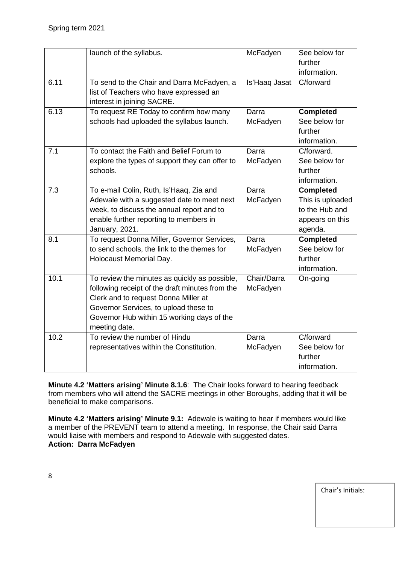|      | launch of the syllabus.                                                                                                                                                                                                                          | McFadyen                | See below for<br>further<br>information.                                             |
|------|--------------------------------------------------------------------------------------------------------------------------------------------------------------------------------------------------------------------------------------------------|-------------------------|--------------------------------------------------------------------------------------|
| 6.11 | To send to the Chair and Darra McFadyen, a<br>list of Teachers who have expressed an<br>interest in joining SACRE.                                                                                                                               | Is'Haaq Jasat           | C/forward                                                                            |
| 6.13 | To request RE Today to confirm how many<br>schools had uploaded the syllabus launch.                                                                                                                                                             | Darra<br>McFadyen       | <b>Completed</b><br>See below for<br>further<br>information.                         |
| 7.1  | To contact the Faith and Belief Forum to<br>explore the types of support they can offer to<br>schools.                                                                                                                                           | Darra<br>McFadyen       | C/forward.<br>See below for<br>further<br>information.                               |
| 7.3  | To e-mail Colin, Ruth, Is'Haaq, Zia and<br>Adewale with a suggested date to meet next<br>week, to discuss the annual report and to<br>enable further reporting to members in<br>January, 2021.                                                   | Darra<br>McFadyen       | <b>Completed</b><br>This is uploaded<br>to the Hub and<br>appears on this<br>agenda. |
| 8.1  | To request Donna Miller, Governor Services,<br>to send schools, the link to the themes for<br>Holocaust Memorial Day.                                                                                                                            | Darra<br>McFadyen       | <b>Completed</b><br>See below for<br>further<br>information.                         |
| 10.1 | To review the minutes as quickly as possible,<br>following receipt of the draft minutes from the<br>Clerk and to request Donna Miller at<br>Governor Services, to upload these to<br>Governor Hub within 15 working days of the<br>meeting date. | Chair/Darra<br>McFadyen | On-going                                                                             |
| 10.2 | To review the number of Hindu<br>representatives within the Constitution.                                                                                                                                                                        | Darra<br>McFadyen       | C/forward<br>See below for<br>further<br>information.                                |

**Minute 4.2 'Matters arising' Minute 8.1.6**: The Chair looks forward to hearing feedback from members who will attend the SACRE meetings in other Boroughs, adding that it will be beneficial to make comparisons.

**Minute 4.2 'Matters arising' Minute 9.1:** Adewale is waiting to hear if members would like a member of the PREVENT team to attend a meeting. In response, the Chair said Darra would liaise with members and respond to Adewale with suggested dates. **Action: Darra McFadyen**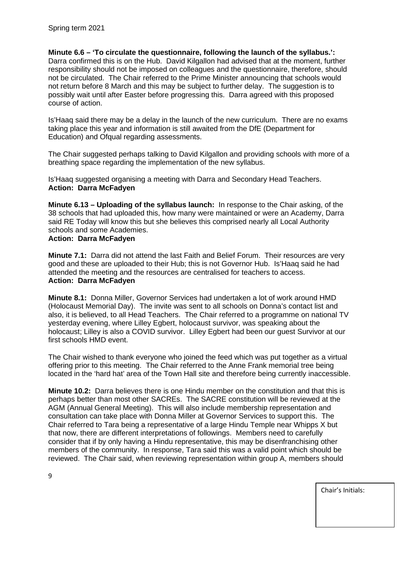**Minute 6.6 – 'To circulate the questionnaire, following the launch of the syllabus.':**  Darra confirmed this is on the Hub. David Kilgallon had advised that at the moment, further responsibility should not be imposed on colleagues and the questionnaire, therefore, should not be circulated. The Chair referred to the Prime Minister announcing that schools would not return before 8 March and this may be subject to further delay. The suggestion is to possibly wait until after Easter before progressing this. Darra agreed with this proposed course of action.

Is'Haaq said there may be a delay in the launch of the new curriculum. There are no exams taking place this year and information is still awaited from the DfE (Department for Education) and Ofqual regarding assessments.

The Chair suggested perhaps talking to David Kilgallon and providing schools with more of a breathing space regarding the implementation of the new syllabus.

Is'Haaq suggested organising a meeting with Darra and Secondary Head Teachers. **Action: Darra McFadyen**

**Minute 6.13 – Uploading of the syllabus launch:** In response to the Chair asking, of the 38 schools that had uploaded this, how many were maintained or were an Academy, Darra said RE Today will know this but she believes this comprised nearly all Local Authority schools and some Academies.

#### **Action: Darra McFadyen**

**Minute 7.1:** Darra did not attend the last Faith and Belief Forum. Their resources are very good and these are uploaded to their Hub; this is not Governor Hub. Is'Haaq said he had attended the meeting and the resources are centralised for teachers to access. **Action: Darra McFadyen**

**Minute 8.1:** Donna Miller, Governor Services had undertaken a lot of work around HMD (Holocaust Memorial Day). The invite was sent to all schools on Donna's contact list and also, it is believed, to all Head Teachers. The Chair referred to a programme on national TV yesterday evening, where Lilley Egbert, holocaust survivor, was speaking about the holocaust; Lilley is also a COVID survivor. Lilley Egbert had been our guest Survivor at our first schools HMD event.

The Chair wished to thank everyone who joined the feed which was put together as a virtual offering prior to this meeting. The Chair referred to the Anne Frank memorial tree being located in the 'hard hat' area of the Town Hall site and therefore being currently inaccessible.

**Minute 10.2:** Darra believes there is one Hindu member on the constitution and that this is perhaps better than most other SACREs. The SACRE constitution will be reviewed at the AGM (Annual General Meeting). This will also include membership representation and consultation can take place with Donna Miller at Governor Services to support this. The Chair referred to Tara being a representative of a large Hindu Temple near Whipps X but that now, there are different interpretations of followings. Members need to carefully consider that if by only having a Hindu representative, this may be disenfranchising other members of the community. In response, Tara said this was a valid point which should be reviewed. The Chair said, when reviewing representation within group A, members should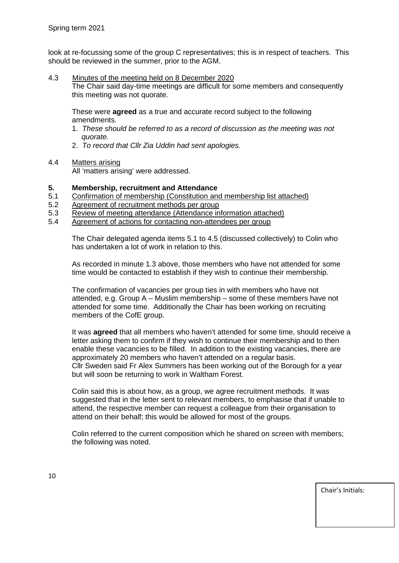look at re-focussing some of the group C representatives; this is in respect of teachers. This should be reviewed in the summer, prior to the AGM.

4.3 Minutes of the meeting held on 8 December 2020

The Chair said day-time meetings are difficult for some members and consequently this meeting was not quorate.

These were **agreed** as a true and accurate record subject to the following amendments.

- 1. *These should be referred to as a record of discussion as the meeting was not quorate.*
- 2. *To record that Cllr Zia Uddin had sent apologies.*
- 4.4 Matters arising

All 'matters arising' were addressed.

# **5. Membership, recruitment and Attendance**

- 5.1 Confirmation of membership (Constitution and membership list attached)
- 5.2 Agreement of recruitment methods per group<br>5.3 Review of meeting attendance (Attendance in
- Review of meeting attendance (Attendance information attached)
- 5.4 Agreement of actions for contacting non-attendees per group

The Chair delegated agenda items 5.1 to 4.5 (discussed collectively) to Colin who has undertaken a lot of work in relation to this.

As recorded in minute 1.3 above, those members who have not attended for some time would be contacted to establish if they wish to continue their membership.

The confirmation of vacancies per group ties in with members who have not attended, e.g. Group A – Muslim membership – some of these members have not attended for some time. Additionally the Chair has been working on recruiting members of the CofE group.

It was **agreed** that all members who haven't attended for some time, should receive a letter asking them to confirm if they wish to continue their membership and to then enable these vacancies to be filled. In addition to the existing vacancies, there are approximately 20 members who haven't attended on a regular basis. Cllr Sweden said Fr Alex Summers has been working out of the Borough for a year but will soon be returning to work in Waltham Forest.

Colin said this is about how, as a group, we agree recruitment methods. It was suggested that in the letter sent to relevant members, to emphasise that if unable to attend, the respective member can request a colleague from their organisation to attend on their behalf; this would be allowed for most of the groups.

Colin referred to the current composition which he shared on screen with members; the following was noted.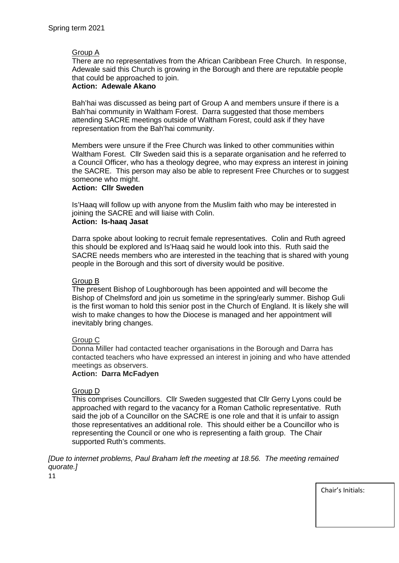## Group A

There are no representatives from the African Caribbean Free Church. In response, Adewale said this Church is growing in the Borough and there are reputable people that could be approached to join.

## **Action: Adewale Akano**

Bah'hai was discussed as being part of Group A and members unsure if there is a Bah'hai community in Waltham Forest. Darra suggested that those members attending SACRE meetings outside of Waltham Forest, could ask if they have representation from the Bah'hai community.

Members were unsure if the Free Church was linked to other communities within Waltham Forest. Cllr Sweden said this is a separate organisation and he referred to a Council Officer, who has a theology degree, who may express an interest in joining the SACRE. This person may also be able to represent Free Churches or to suggest someone who might.

#### **Action: Cllr Sweden**

Is'Haaq will follow up with anyone from the Muslim faith who may be interested in joining the SACRE and will liaise with Colin.

## **Action: Is-haaq Jasat**

Darra spoke about looking to recruit female representatives. Colin and Ruth agreed this should be explored and Is'Haaq said he would look into this. Ruth said the SACRE needs members who are interested in the teaching that is shared with young people in the Borough and this sort of diversity would be positive.

## Group B

The present Bishop of Loughborough has been appointed and will become the Bishop of Chelmsford and join us sometime in the spring/early summer. Bishop Guli is the first woman to hold this senior post in the Church of England. It is likely she will wish to make changes to how the Diocese is managed and her appointment will inevitably bring changes.

## Group C

Donna Miller had contacted teacher organisations in the Borough and Darra has contacted teachers who have expressed an interest in joining and who have attended meetings as observers.

## **Action: Darra McFadyen**

#### Group D

This comprises Councillors. Cllr Sweden suggested that Cllr Gerry Lyons could be approached with regard to the vacancy for a Roman Catholic representative. Ruth said the job of a Councillor on the SACRE is one role and that it is unfair to assign those representatives an additional role. This should either be a Councillor who is representing the Council or one who is representing a faith group. The Chair supported Ruth's comments.

*[Due to internet problems, Paul Braham left the meeting at 18.56. The meeting remained quorate.]*

11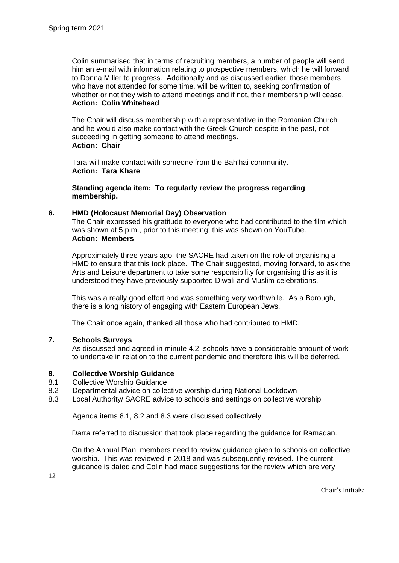Colin summarised that in terms of recruiting members, a number of people will send him an e-mail with information relating to prospective members, which he will forward to Donna Miller to progress. Additionally and as discussed earlier, those members who have not attended for some time, will be written to, seeking confirmation of whether or not they wish to attend meetings and if not, their membership will cease. **Action: Colin Whitehead**

The Chair will discuss membership with a representative in the Romanian Church and he would also make contact with the Greek Church despite in the past, not succeeding in getting someone to attend meetings. **Action: Chair**

Tara will make contact with someone from the Bah'hai community. **Action: Tara Khare**

**Standing agenda item: To regularly review the progress regarding membership.**

#### **6. HMD (Holocaust Memorial Day) Observation**

The Chair expressed his gratitude to everyone who had contributed to the film which was shown at 5 p.m., prior to this meeting; this was shown on YouTube. **Action: Members**

Approximately three years ago, the SACRE had taken on the role of organising a HMD to ensure that this took place. The Chair suggested, moving forward, to ask the Arts and Leisure department to take some responsibility for organising this as it is understood they have previously supported Diwali and Muslim celebrations.

This was a really good effort and was something very worthwhile. As a Borough, there is a long history of engaging with Eastern European Jews.

The Chair once again, thanked all those who had contributed to HMD.

## **7. Schools Surveys**

As discussed and agreed in minute 4.2, schools have a considerable amount of work to undertake in relation to the current pandemic and therefore this will be deferred.

#### **8. Collective Worship Guidance**

- 8.1 Collective Worship Guidance<br>8.2 Departmental advice on coller
- 8.2 Departmental advice on collective worship during National Lockdown<br>8.3 Local Authority/ SACRE advice to schools and settings on collective v
- Local Authority/ SACRE advice to schools and settings on collective worship

Agenda items 8.1, 8.2 and 8.3 were discussed collectively.

Darra referred to discussion that took place regarding the guidance for Ramadan.

On the Annual Plan, members need to review guidance given to schools on collective worship. This was reviewed in 2018 and was subsequently revised. The current guidance is dated and Colin had made suggestions for the review which are very

12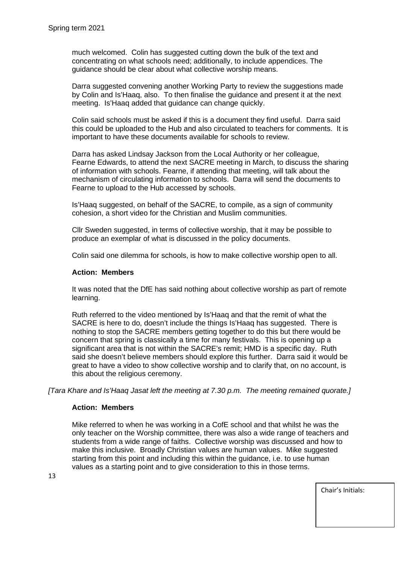much welcomed. Colin has suggested cutting down the bulk of the text and concentrating on what schools need; additionally, to include appendices. The guidance should be clear about what collective worship means.

Darra suggested convening another Working Party to review the suggestions made by Colin and Is'Haaq, also. To then finalise the guidance and present it at the next meeting. Is'Haaq added that guidance can change quickly.

Colin said schools must be asked if this is a document they find useful. Darra said this could be uploaded to the Hub and also circulated to teachers for comments. It is important to have these documents available for schools to review.

Darra has asked Lindsay Jackson from the Local Authority or her colleague, Fearne Edwards, to attend the next SACRE meeting in March, to discuss the sharing of information with schools. Fearne, if attending that meeting, will talk about the mechanism of circulating information to schools. Darra will send the documents to Fearne to upload to the Hub accessed by schools.

Is'Haaq suggested, on behalf of the SACRE, to compile, as a sign of community cohesion, a short video for the Christian and Muslim communities.

Cllr Sweden suggested, in terms of collective worship, that it may be possible to produce an exemplar of what is discussed in the policy documents.

Colin said one dilemma for schools, is how to make collective worship open to all.

#### **Action: Members**

It was noted that the DfE has said nothing about collective worship as part of remote learning.

Ruth referred to the video mentioned by Is'Haaq and that the remit of what the SACRE is here to do, doesn't include the things Is'Haaq has suggested. There is nothing to stop the SACRE members getting together to do this but there would be concern that spring is classically a time for many festivals. This is opening up a significant area that is not within the SACRE's remit; HMD is a specific day. Ruth said she doesn't believe members should explore this further. Darra said it would be great to have a video to show collective worship and to clarify that, on no account, is this about the religious ceremony.

*[Tara Khare and Is'Haaq Jasat left the meeting at 7.30 p.m. The meeting remained quorate.]*

#### **Action: Members**

Mike referred to when he was working in a CofE school and that whilst he was the only teacher on the Worship committee, there was also a wide range of teachers and students from a wide range of faiths. Collective worship was discussed and how to make this inclusive. Broadly Christian values are human values. Mike suggested starting from this point and including this within the guidance, i.e. to use human values as a starting point and to give consideration to this in those terms.